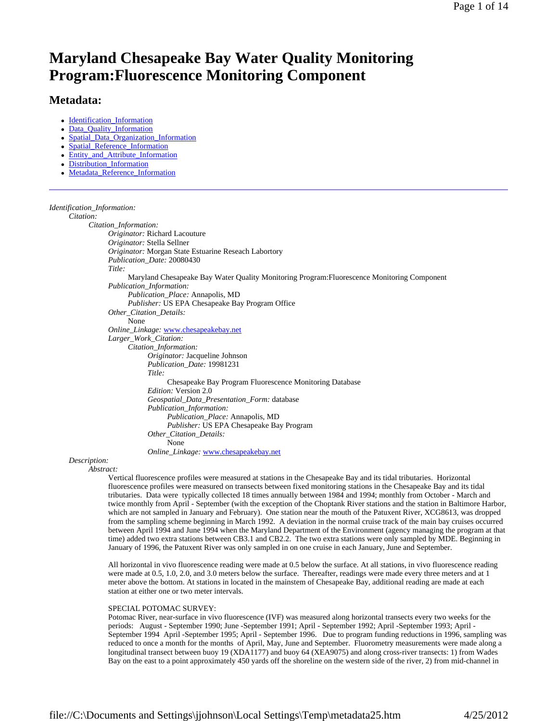# **Maryland Chesapeake Bay Water Quality Monitoring Program:Fluorescence Monitoring Component**

# **Metadata:**

- Identification\_Information
- Data\_Quality\_Information
- Spatial\_Data\_Organization\_Information
- Spatial\_Reference\_Information
- Entity\_and\_Attribute\_Information
- Distribution\_Information
- Metadata\_Reference\_Information

#### *Identification\_Information:*

# *Citation:*

*Citation\_Information: Originator:* Richard Lacouture *Originator:* Stella Sellner *Originator:* Morgan State Estuarine Reseach Labortory *Publication\_Date:* 20080430 *Title:* Maryland Chesapeake Bay Water Quality Monitoring Program:Fluorescence Monitoring Component *Publication\_Information: Publication\_Place:* Annapolis, MD *Publisher:* US EPA Chesapeake Bay Program Office *Other\_Citation\_Details:* None *Online\_Linkage:* www.chesapeakebay.net *Larger\_Work\_Citation: Citation\_Information: Originator:* Jacqueline Johnson *Publication\_Date:* 19981231 *Title:* Chesapeake Bay Program Fluorescence Monitoring Database *Edition:* Version 2.0 *Geospatial\_Data\_Presentation\_Form:* database *Publication\_Information: Publication\_Place:* Annapolis, MD *Publisher:* US EPA Chesapeake Bay Program *Other\_Citation\_Details:* None *Online\_Linkage:* www.chesapeakebay.net

*Description:*

*Abstract:*

Vertical fluorescence profiles were measured at stations in the Chesapeake Bay and its tidal tributaries. Horizontal fluorescence profiles were measured on transects between fixed monitoring stations in the Chesapeake Bay and its tidal tributaries. Data were typically collected 18 times annually between 1984 and 1994; monthly from October - March and twice monthly from April - September (with the exception of the Choptank River stations and the station in Baltimore Harbor, which are not sampled in January and February). One station near the mouth of the Patuxent River, XCG8613, was dropped from the sampling scheme beginning in March 1992. A deviation in the normal cruise track of the main bay cruises occurred between April 1994 and June 1994 when the Maryland Department of the Environment (agency managing the program at that time) added two extra stations between CB3.1 and CB2.2. The two extra stations were only sampled by MDE. Beginning in January of 1996, the Patuxent River was only sampled in on one cruise in each January, June and September.

All horizontal in vivo fluorescence reading were made at 0.5 below the surface. At all stations, in vivo fluorescence reading were made at 0.5, 1.0, 2.0, and 3.0 meters below the surface. Thereafter, readings were made every three meters and at 1 meter above the bottom. At stations in located in the mainstem of Chesapeake Bay, additional reading are made at each station at either one or two meter intervals.

### SPECIAL POTOMAC SURVEY:

Potomac River, near-surface in vivo fluorescence (IVF) was measured along horizontal transects every two weeks for the periods: August - September 1990; June -September 1991; April - September 1992; April -September 1993; April - September 1994 April -September 1995; April - September 1996. Due to program funding reductions in 1996, sampling was reduced to once a month for the months of April, May, June and September. Fluorometry measurements were made along a longitudinal transect between buoy 19 (XDA1177) and buoy 64 (XEA9075) and along cross-river transects: 1) from Wades Bay on the east to a point approximately 450 yards off the shoreline on the western side of the river, 2) from mid-channel in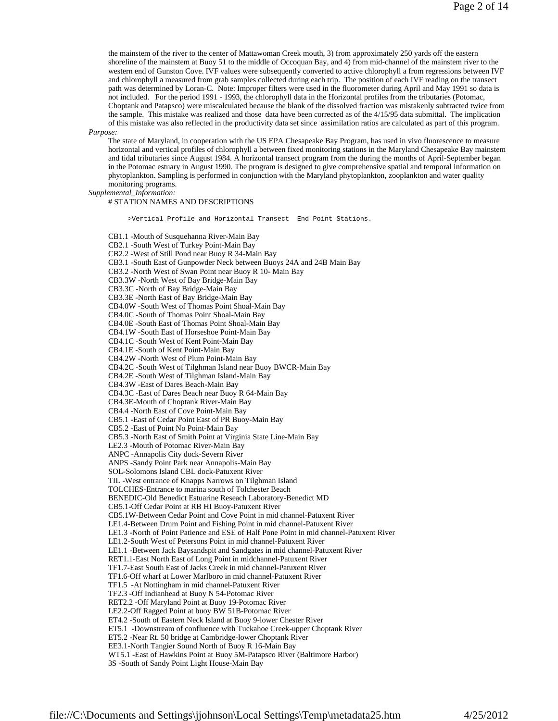the mainstem of the river to the center of Mattawoman Creek mouth, 3) from approximately 250 yards off the eastern shoreline of the mainstem at Buoy 51 to the middle of Occoquan Bay, and 4) from mid-channel of the mainstem river to the western end of Gunston Cove. IVF values were subsequently converted to active chlorophyll a from regressions between IVF and chlorophyll a measured from grab samples collected during each trip. The position of each IVF reading on the transect path was determined by Loran-C. Note: Improper filters were used in the fluorometer during April and May 1991 so data is not included. For the period 1991 - 1993, the chlorophyll data in the Horizontal profiles from the tributaries (Potomac, Choptank and Patapsco) were miscalculated because the blank of the dissolved fraction was mistakenly subtracted twice from the sample. This mistake was realized and those data have been corrected as of the 4/15/95 data submittal. The implication of this mistake was also reflected in the productivity data set since assimilation ratios are calculated as part of this program.

*Purpose:*

The state of Maryland, in cooperation with the US EPA Chesapeake Bay Program, has used in vivo fluorescence to measure horizontal and vertical profiles of chlorophyll a between fixed monitoring stations in the Maryland Chesapeake Bay mainstem and tidal tributaries since August 1984. A horizontal transect program from the during the months of April-September began in the Potomac estuary in August 1990. The program is designed to give comprehensive spatial and temporal information on phytoplankton. Sampling is performed in conjunction with the Maryland phytoplankton, zooplankton and water quality monitoring programs.

*Supplemental\_Information:*

# STATION NAMES AND DESCRIPTIONS

CB1.1 -Mouth of Susquehanna River-Main Bay CB2.1 -South West of Turkey Point-Main Bay CB2.2 -West of Still Pond near Buoy R 34-Main Bay CB3.1 -South East of Gunpowder Neck between Buoys 24A and 24B Main Bay CB3.2 -North West of Swan Point near Buoy R 10- Main Bay CB3.3W -North West of Bay Bridge-Main Bay CB3.3C -North of Bay Bridge-Main Bay CB3.3E -North East of Bay Bridge-Main Bay CB4.0W -South West of Thomas Point Shoal-Main Bay CB4.0C -South of Thomas Point Shoal-Main Bay CB4.0E -South East of Thomas Point Shoal-Main Bay CB4.1W -South East of Horseshoe Point-Main Bay CB4.1C -South West of Kent Point-Main Bay CB4.1E -South of Kent Point-Main Bay CB4.2W -North West of Plum Point-Main Bay CB4.2C -South West of Tilghman Island near Buoy BWCR-Main Bay CB4.2E -South West of Tilghman Island-Main Bay CB4.3W -East of Dares Beach-Main Bay CB4.3C -East of Dares Beach near Buoy R 64-Main Bay CB4.3E-Mouth of Choptank River-Main Bay CB4.4 -North East of Cove Point-Main Bay CB5.1 -East of Cedar Point East of PR Buoy-Main Bay CB5.2 -East of Point No Point-Main Bay CB5.3 -North East of Smith Point at Virginia State Line-Main Bay LE2.3 -Mouth of Potomac River-Main Bay ANPC -Annapolis City dock-Severn River ANPS -Sandy Point Park near Annapolis-Main Bay SOL-Solomons Island CBL dock-Patuxent River TIL -West entrance of Knapps Narrows on Tilghman Island TOLCHES-Entrance to marina south of Tolchester Beach BENEDIC-Old Benedict Estuarine Reseach Laboratory-Benedict MD CB5.1-Off Cedar Point at RB HI Buoy-Patuxent River CB5.1W-Between Cedar Point and Cove Point in mid channel-Patuxent River LE1.4-Between Drum Point and Fishing Point in mid channel-Patuxent River LE1.3 -North of Point Patience and ESE of Half Pone Point in mid channel-Patuxent River LE1.2-South West of Petersons Point in mid channel-Patuxent River LE1.1 -Between Jack Baysandspit and Sandgates in mid channel-Patuxent River RET1.1-East North East of Long Point in midchannel-Patuxent River TF1.7-East South East of Jacks Creek in mid channel-Patuxent River TF1.6-Off wharf at Lower Marlboro in mid channel-Patuxent River TF1.5 -At Nottingham in mid channel-Patuxent River TF2.3 -Off Indianhead at Buoy N 54-Potomac River RET2.2 -Off Maryland Point at Buoy 19-Potomac River LE2.2-Off Ragged Point at buoy BW 51B-Potomac River ET4.2 -South of Eastern Neck Island at Buoy 9-lower Chester River ET5.1 -Downstream of confluence with Tuckahoe Creek-upper Choptank River ET5.2 -Near Rt. 50 bridge at Cambridge-lower Choptank River EE3.1-North Tangier Sound North of Buoy R 16-Main Bay WT5.1 -East of Hawkins Point at Buoy 5M-Patapsco River (Baltimore Harbor)

>Vertical Profile and Horizontal Transect End Point Stations.

3S -South of Sandy Point Light House-Main Bay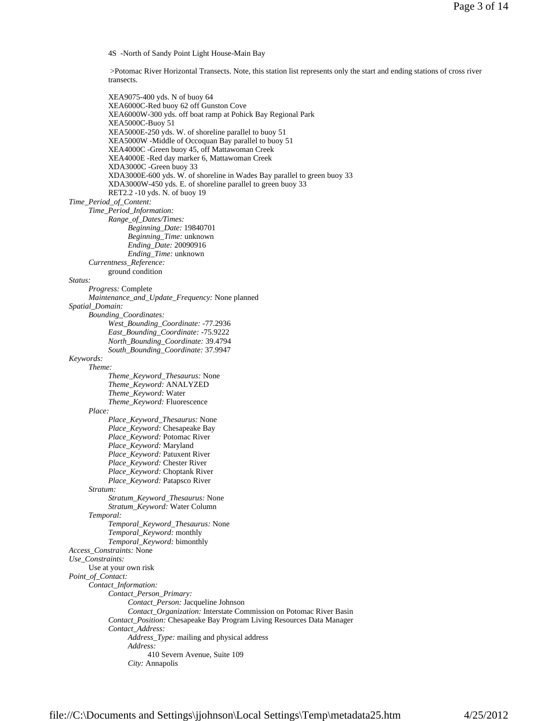4S -North of Sandy Point Light House-Main Bay

 >Potomac River Horizontal Transects. Note, this station list represents only the start and ending stations of cross river transects.

XEA9075-400 yds. N of buoy 64 XEA6000C-Red buoy 62 off Gunston Cove XEA6000W-300 yds. off boat ramp at Pohick Bay Regional Park XEA5000C-Buoy 51 XEA5000E-250 yds. W. of shoreline parallel to buoy 51 XEA5000W -Middle of Occoquan Bay parallel to buoy 51 XEA4000C -Green buoy 45, off Mattawoman Creek XEA4000E -Red day marker 6, Mattawoman Creek XDA3000C -Green buoy 33 XDA3000E-600 yds. W. of shoreline in Wades Bay parallel to green buoy 33 XDA3000W-450 yds. E. of shoreline parallel to green buoy 33 RET2.2 -10 yds. N. of buoy 19 *Time\_Period\_of\_Content: Time\_Period\_Information: Range\_of\_Dates/Times: Beginning\_Date:* 19840701 *Beginning\_Time:* unknown *Ending\_Date:* 20090916 *Ending\_Time:* unknown *Currentness\_Reference:* ground condition *Status: Progress:* Complete *Maintenance\_and\_Update\_Frequency:* None planned *Spatial\_Domain: Bounding\_Coordinates: West\_Bounding\_Coordinate:* -77.2936 *East\_Bounding\_Coordinate:* -75.9222 *North\_Bounding\_Coordinate:* 39.4794 *South\_Bounding\_Coordinate:* 37.9947 *Keywords: Theme: Theme\_Keyword\_Thesaurus:* None *Theme\_Keyword:* ANALYZED *Theme\_Keyword:* Water *Theme\_Keyword:* Fluorescence *Place: Place\_Keyword\_Thesaurus:* None *Place\_Keyword:* Chesapeake Bay *Place\_Keyword:* Potomac River *Place\_Keyword:* Maryland *Place\_Keyword:* Patuxent River *Place\_Keyword:* Chester River *Place\_Keyword:* Choptank River *Place\_Keyword:* Patapsco River *Stratum: Stratum\_Keyword\_Thesaurus:* None *Stratum\_Keyword:* Water Column *Temporal: Temporal\_Keyword\_Thesaurus:* None *Temporal\_Keyword:* monthly *Temporal\_Keyword:* bimonthly *Access\_Constraints:* None *Use\_Constraints:* Use at your own risk *Point\_of\_Contact: Contact\_Information: Contact\_Person\_Primary: Contact\_Person:* Jacqueline Johnson *Contact\_Organization:* Interstate Commission on Potomac River Basin *Contact\_Position:* Chesapeake Bay Program Living Resources Data Manager *Contact\_Address: Address\_Type:* mailing and physical address *Address:* 410 Severn Avenue, Suite 109 *City:* Annapolis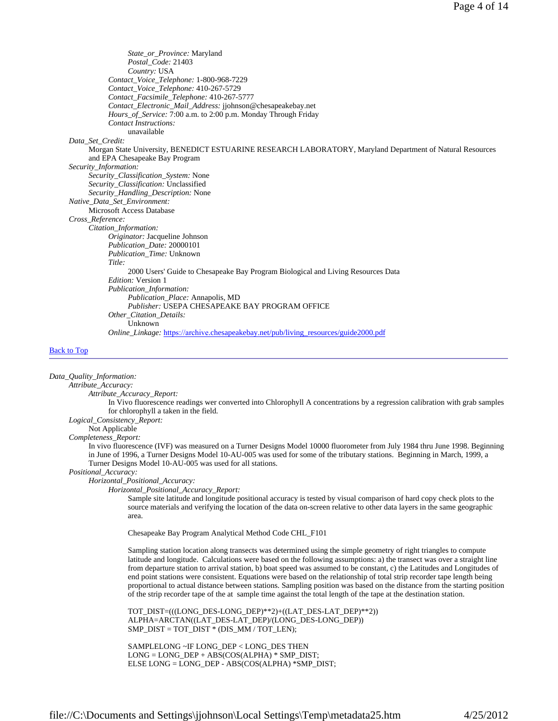*State\_or\_Province:* Maryland *Postal\_Code:* 21403 *Country:* USA *Contact\_Voice\_Telephone:* 1-800-968-7229 *Contact\_Voice\_Telephone:* 410-267-5729 *Contact\_Facsimile\_Telephone:* 410-267-5777 *Contact\_Electronic\_Mail\_Address:* jjohnson@chesapeakebay.net *Hours\_of\_Service:* 7:00 a.m. to 2:00 p.m. Monday Through Friday *Contact Instructions:* unavailable *Data\_Set\_Credit:* Morgan State University, BENEDICT ESTUARINE RESEARCH LABORATORY, Maryland Department of Natural Resources and EPA Chesapeake Bay Program *Security\_Information: Security\_Classification\_System:* None *Security\_Classification:* Unclassified *Security\_Handling\_Description:* None *Native\_Data\_Set\_Environment:* Microsoft Access Database *Cross\_Reference: Citation\_Information: Originator:* Jacqueline Johnson *Publication\_Date:* 20000101 *Publication\_Time:* Unknown *Title:* 2000 Users' Guide to Chesapeake Bay Program Biological and Living Resources Data *Edition:* Version 1 *Publication\_Information: Publication\_Place:* Annapolis, MD *Publisher:* USEPA CHESAPEAKE BAY PROGRAM OFFICE *Other\_Citation\_Details:* Unknown *Online\_Linkage:* https://archive.chesapeakebay.net/pub/living\_resources/guide2000.pdf

#### Back to Top

*Data\_Quality\_Information: Attribute\_Accuracy: Attribute\_Accuracy\_Report:* In Vivo fluorescence readings wer converted into Chlorophyll A concentrations by a regression calibration with grab samples for chlorophyll a taken in the field. *Logical\_Consistency\_Report:* Not Applicable *Completeness\_Report:* In vivo fluorescence (IVF) was measured on a Turner Designs Model 10000 fluorometer from July 1984 thru June 1998. Beginning in June of 1996, a Turner Designs Model 10-AU-005 was used for some of the tributary stations. Beginning in March, 1999, a Turner Designs Model 10-AU-005 was used for all stations. *Positional\_Accuracy: Horizontal\_Positional\_Accuracy: Horizontal\_Positional\_Accuracy\_Report:* Sample site latitude and longitude positional accuracy is tested by visual comparison of hard copy check plots to the source materials and verifying the location of the data on-screen relative to other data layers in the same geographic area. Chesapeake Bay Program Analytical Method Code CHL\_F101 Sampling station location along transects was determined using the simple geometry of right triangles to compute latitude and longitude. Calculations were based on the following assumptions: a) the transect was over a straight line from departure station to arrival station, b) boat speed was assumed to be constant, c) the Latitudes and Longitudes of end point stations were consistent. Equations were based on the relationship of total strip recorder tape length being proportional to actual distance between stations. Sampling position was based on the distance from the starting position of the strip recorder tape of the at sample time against the total length of the tape at the destination station. TOT\_DIST=(((LONG\_DES-LONG\_DEP)\*\*2)+((LAT\_DES-LAT\_DEP)\*\*2)) ALPHA=ARCTAN((LAT\_DES-LAT\_DEP)/(LONG\_DES-LONG\_DEP)) SMP\_DIST = TOT\_DIST \* (DIS\_MM / TOT\_LEN); SAMPLELONG ~IF LONG\_DEP < LONG\_DES THEN LONG = LONG\_DEP + ABS(COS(ALPHA) \* SMP\_DIST; ELSE LONG = LONG\_DEP - ABS(COS(ALPHA) \*SMP\_DIST;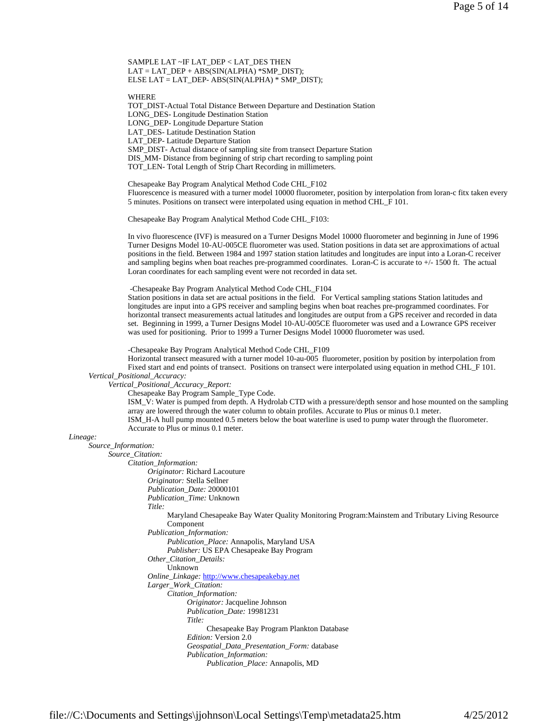SAMPLE LAT ~IF LAT\_DEP < LAT\_DES THEN  $LAT = LAT\_DEP + ABS(SIN(ALPHA) * SMP\_DIST);$ ELSE LAT = LAT\_DEP- ABS(SIN(ALPHA) \* SMP\_DIST);

WHERE

TOT\_DIST-Actual Total Distance Between Departure and Destination Station LONG\_DES- Longitude Destination Station LONG\_DEP- Longitude Departure Station LAT\_DES- Latitude Destination Station LAT\_DEP- Latitude Departure Station SMP\_DIST- Actual distance of sampling site from transect Departure Station DIS\_MM- Distance from beginning of strip chart recording to sampling point TOT\_LEN- Total Length of Strip Chart Recording in millimeters.

Chesapeake Bay Program Analytical Method Code CHL\_F102 Fluorescence is measured with a turner model 10000 fluorometer, position by interpolation from loran-c fitx taken every 5 minutes. Positions on transect were interpolated using equation in method CHL\_F 101.

Chesapeake Bay Program Analytical Method Code CHL\_F103:

In vivo fluorescence (IVF) is measured on a Turner Designs Model 10000 fluorometer and beginning in June of 1996 Turner Designs Model 10-AU-005CE fluorometer was used. Station positions in data set are approximations of actual positions in the field. Between 1984 and 1997 station station latitudes and longitudes are input into a Loran-C receiver and sampling begins when boat reaches pre-programmed coordinates. Loran-C is accurate to +/- 1500 ft. The actual Loran coordinates for each sampling event were not recorded in data set.

-Chesapeake Bay Program Analytical Method Code CHL\_F104

Station positions in data set are actual positions in the field. For Vertical sampling stations Station latitudes and longitudes are input into a GPS receiver and sampling begins when boat reaches pre-programmed coordinates. For horizontal transect measurements actual latitudes and longitudes are output from a GPS receiver and recorded in data set. Beginning in 1999, a Turner Designs Model 10-AU-005CE fluorometer was used and a Lowrance GPS receiver was used for positioning. Prior to 1999 a Turner Designs Model 10000 fluorometer was used.

-Chesapeake Bay Program Analytical Method Code CHL\_F109

Horizontal transect measured with a turner model 10-au-005 fluorometer, position by position by interpolation from Fixed start and end points of transect. Positions on transect were interpolated using equation in method CHL\_F 101. *Vertical\_Positional\_Accuracy:*

*Vertical\_Positional\_Accuracy\_Report:* Chesapeake Bay Program Sample\_Type Code.

ISM\_V: Water is pumped from depth. A Hydrolab CTD with a pressure/depth sensor and hose mounted on the sampling array are lowered through the water column to obtain profiles. Accurate to Plus or minus 0.1 meter. ISM\_H-A hull pump mounted 0.5 meters below the boat waterline is used to pump water through the fluorometer. Accurate to Plus or minus 0.1 meter.

#### *Lineage:*

*Source\_Information: Source\_Citation: Citation\_Information: Originator:* Richard Lacouture *Originator:* Stella Sellner *Publication\_Date:* 20000101 *Publication\_Time:* Unknown *Title:* Maryland Chesapeake Bay Water Quality Monitoring Program:Mainstem and Tributary Living Resource Component *Publication\_Information: Publication\_Place:* Annapolis, Maryland USA *Publisher:* US EPA Chesapeake Bay Program *Other\_Citation\_Details:* Unknown *Online\_Linkage:* http://www.chesapeakebay.net *Larger\_Work\_Citation: Citation\_Information: Originator:* Jacqueline Johnson *Publication\_Date:* 19981231 *Title:* Chesapeake Bay Program Plankton Database *Edition:* Version 2.0 *Geospatial\_Data\_Presentation\_Form:* database *Publication\_Information: Publication\_Place:* Annapolis, MD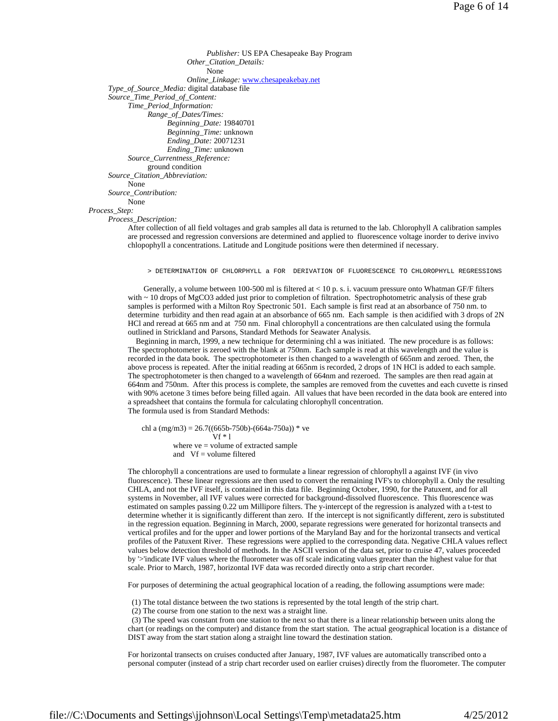```
Publisher: US EPA Chesapeake Bay Program 
                              Other_Citation_Details: 
                                    None 
                              Online_Linkage: www.chesapeakebay.net 
      Type_of_Source_Media: digital database file 
      Source_Time_Period_of_Content: 
            Time_Period_Information: 
                 Range_of_Dates/Times: 
                        Beginning_Date: 19840701 
                        Beginning_Time: unknown 
                        Ending_Date: 20071231 
                        Ending_Time: unknown 
            Source_Currentness_Reference: 
                  ground condition 
      Source_Citation_Abbreviation: 
           None 
      Source_Contribution: 
            None 
Process_Step: 
      Process_Description: 
            After collection of all field voltages and grab samples all data is returned to the lab. Chlorophyll A calibration samples
```
are processed and regression conversions are determined and applied to fluorescence voltage inorder to derive invivo chlopophyll a concentrations. Latitude and Longitude positions were then determined if necessary.

> DETERMINATION OF CHLORPHYLL a FOR DERIVATION OF FLUORESCENCE TO CHLOROPHYLL REGRESSIONS

 Generally, a volume between 100-500 ml is filtered at < 10 p. s. i. vacuum pressure onto Whatman GF/F filters with  $\sim$  10 drops of MgCO3 added just prior to completion of filtration. Spectrophotometric analysis of these grab samples is performed with a Milton Roy Spectronic 501. Each sample is first read at an absorbance of 750 nm. to determine turbidity and then read again at an absorbance of 665 nm. Each sample is then acidified with 3 drops of 2N HCl and reread at 665 nm and at 750 nm. Final chlorophyll a concentrations are then calculated using the formula outlined in Strickland and Parsons, Standard Methods for Seawater Analysis.

 Beginning in march, 1999, a new technique for determining chl a was initiated. The new procedure is as follows: The spectrophotometer is zeroed with the blank at 750nm. Each sample is read at this wavelength and the value is recorded in the data book. The spectrophotometer is then changed to a wavelength of 665nm and zeroed. Then, the above process is repeated. After the initial reading at 665nm is recorded, 2 drops of 1N HCl is added to each sample. The spectrophotometer is then changed to a wavelength of 664nm and rezeroed. The samples are then read again at 664nm and 750nm. After this process is complete, the samples are removed from the cuvettes and each cuvette is rinsed with 90% acetone 3 times before being filled again. All values that have been recorded in the data book are entered into a spreadsheet that contains the formula for calculating chlorophyll concentration. The formula used is from Standard Methods:

chl a  $(mg/m3) = 26.7((665b-750b)-(664a-750a))$  \* ve  $Vf * 1$  where ve = volume of extracted sample and  $Vf = volume filtered$ 

The chlorophyll a concentrations are used to formulate a linear regression of chlorophyll a against IVF (in vivo fluorescence). These linear regressions are then used to convert the remaining IVF's to chlorophyll a. Only the resulting CHLA, and not the IVF itself, is contained in this data file. Beginning October, 1990, for the Patuxent, and for all systems in November, all IVF values were corrected for background-dissolved fluorescence. This fluorescence was estimated on samples passing 0.22 um Millipore filters. The y-intercept of the regression is analyzed with a t-test to determine whether it is significantly different than zero. If the intercept is not significantly different, zero is substituted in the regression equation. Beginning in March, 2000, separate regressions were generated for horizontal transects and vertical profiles and for the upper and lower portions of the Maryland Bay and for the horizontal transects and vertical profiles of the Patuxent River. These regressions were applied to the corresponding data. Negative CHLA values reflect values below detection threshold of methods. In the ASCII version of the data set, prior to cruise 47, values proceeded by '>'indicate IVF values where the fluorometer was off scale indicating values greater than the highest value for that scale. Prior to March, 1987, horizontal IVF data was recorded directly onto a strip chart recorder.

For purposes of determining the actual geographical location of a reading, the following assumptions were made:

(1) The total distance between the two stations is represented by the total length of the strip chart.

(2) The course from one station to the next was a straight line.

 (3) The speed was constant from one station to the next so that there is a linear relationship between units along the chart (or readings on the computer) and distance from the start station. The actual geographical location is a distance of DIST away from the start station along a straight line toward the destination station.

For horizontal transects on cruises conducted after January, 1987, IVF values are automatically transcribed onto a personal computer (instead of a strip chart recorder used on earlier cruises) directly from the fluorometer. The computer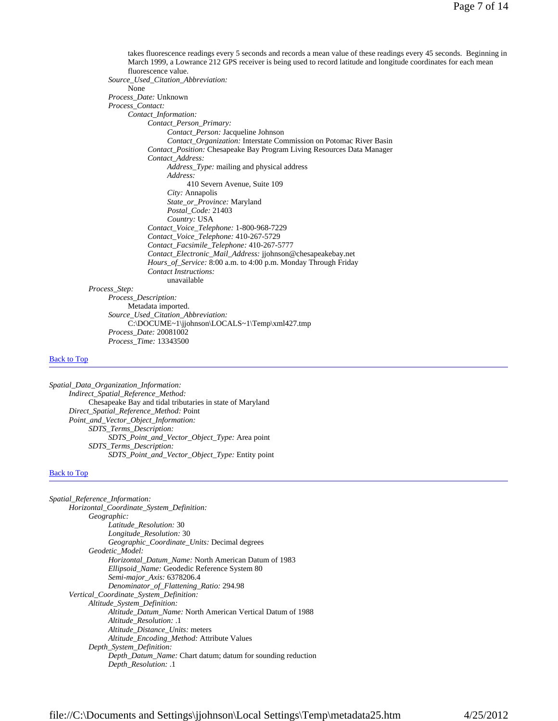takes fluorescence readings every 5 seconds and records a mean value of these readings every 45 seconds. Beginning in March 1999, a Lowrance 212 GPS receiver is being used to record latitude and longitude coordinates for each mean fluorescence value. *Source\_Used\_Citation\_Abbreviation:* None *Process\_Date:* Unknown *Process\_Contact: Contact\_Information: Contact\_Person\_Primary: Contact\_Person:* Jacqueline Johnson *Contact\_Organization:* Interstate Commission on Potomac River Basin *Contact\_Position:* Chesapeake Bay Program Living Resources Data Manager *Contact\_Address: Address\_Type:* mailing and physical address *Address:* 410 Severn Avenue, Suite 109 *City:* Annapolis *State\_or\_Province:* Maryland *Postal\_Code:* 21403 *Country:* USA *Contact\_Voice\_Telephone:* 1-800-968-7229 *Contact\_Voice\_Telephone:* 410-267-5729 *Contact\_Facsimile\_Telephone:* 410-267-5777 *Contact\_Electronic\_Mail\_Address:* jjohnson@chesapeakebay.net *Hours\_of\_Service:* 8:00 a.m. to 4:00 p.m. Monday Through Friday *Contact Instructions:* unavailable *Process\_Step: Process\_Description:* Metadata imported. *Source\_Used\_Citation\_Abbreviation:* C:\DOCUME~1\jjohnson\LOCALS~1\Temp\xml427.tmp *Process\_Date:* 20081002 *Process\_Time:* 13343500

#### Back to Top

*Spatial\_Data\_Organization\_Information: Indirect\_Spatial\_Reference\_Method:* Chesapeake Bay and tidal tributaries in state of Maryland *Direct\_Spatial\_Reference\_Method:* Point *Point\_and\_Vector\_Object\_Information: SDTS\_Terms\_Description: SDTS\_Point\_and\_Vector\_Object\_Type:* Area point *SDTS\_Terms\_Description: SDTS\_Point\_and\_Vector\_Object\_Type:* Entity point

#### Back to Top

| Spatial_Reference_Information:                                     |
|--------------------------------------------------------------------|
| Horizontal_Coordinate_System_Definition:                           |
| Geographic:                                                        |
| Latitude Resolution: 30                                            |
| Longitude_Resolution: 30                                           |
| Geographic_Coordinate_Units: Decimal degrees                       |
| Geodetic Model:                                                    |
| <i>Horizontal Datum Name:</i> North American Datum of 1983         |
| <i>Ellipsoid_Name:</i> Geodedic Reference System 80                |
| Semi-major_Axis: 6378206.4                                         |
| Denominator_of_Flattening_Ratio: 294.98                            |
| Vertical_Coordinate_System_Definition:                             |
| Altitude_System_Definition:                                        |
| <i>Altitude Datum Name:</i> North American Vertical Datum of 1988  |
| Altitude Resolution: .1                                            |
| <i>Altitude Distance Units:</i> meters                             |
| Altitude_Encoding_Method: Attribute Values                         |
| Depth_System_Definition:                                           |
| <i>Depth_Datum_Name:</i> Chart datum; datum for sounding reduction |
| Depth_Resolution: .1                                               |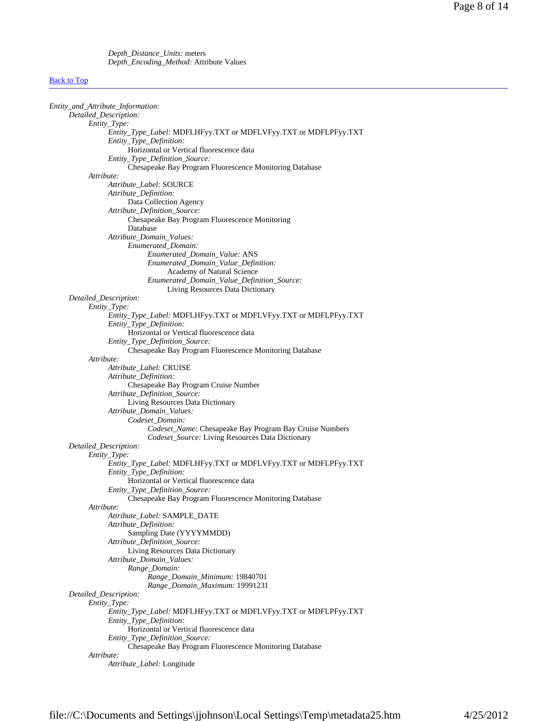*Depth\_Distance\_Units:* meters *Depth\_Encoding\_Method:* Attribute Values

# **Back to Top**

| Entity_and_Attribute_Information: |                                                                 |
|-----------------------------------|-----------------------------------------------------------------|
| Detailed_Description:             |                                                                 |
| Entity_Type:                      |                                                                 |
|                                   | Entity_Type_Label: MDFLHFyy.TXT or MDFLVFyy.TXT or MDFLPFyy.TXT |
|                                   | Entity_Type_Definition:                                         |
|                                   | Horizontal or Vertical fluorescence data                        |
|                                   | Entity_Type_Definition_Source:                                  |
|                                   | Chesapeake Bay Program Fluorescence Monitoring Database         |
| Attribute:                        |                                                                 |
|                                   | Attribute_Label: SOURCE                                         |
|                                   | Attribute_Definition:                                           |
|                                   | Data Collection Agency                                          |
|                                   |                                                                 |
|                                   | Attribute_Definition_Source:                                    |
|                                   | Chesapeake Bay Program Fluorescence Monitoring                  |
|                                   | Database                                                        |
|                                   | Attribute_Domain_Values:                                        |
|                                   | Enumerated_Domain:                                              |
|                                   | Enumerated_Domain_Value: ANS                                    |
|                                   | Enumerated_Domain_Value_Definition:                             |
|                                   | Academy of Natural Science                                      |
|                                   | Enumerated_Domain_Value_Definition_Source:                      |
|                                   | Living Resources Data Dictionary                                |
| Detailed_Description:             |                                                                 |
| Entity_Type:                      |                                                                 |
|                                   | Entity_Type_Label: MDFLHFyy.TXT or MDFLVFyy.TXT or MDFLPFyy.TXT |
|                                   | Entity_Type_Definition:                                         |
|                                   | Horizontal or Vertical fluorescence data                        |
|                                   | Entity_Type_Definition_Source:                                  |
|                                   | Chesapeake Bay Program Fluorescence Monitoring Database         |
| Attribute:                        |                                                                 |
|                                   | Attribute_Label: CRUISE                                         |
|                                   | Attribute_Definition:                                           |
|                                   | Chesapeake Bay Program Cruise Number                            |
|                                   |                                                                 |
|                                   | Attribute_Definition_Source:                                    |
|                                   | Living Resources Data Dictionary                                |
|                                   | Attribute_Domain_Values:                                        |
|                                   | Codeset_Domain:                                                 |
|                                   | Codeset_Name: Chesapeake Bay Program Bay Cruise Numbers         |
|                                   | Codeset_Source: Living Resources Data Dictionary                |
| Detailed_Description:             |                                                                 |
| Entity_Type:                      |                                                                 |
|                                   | Entity_Type_Label: MDFLHFyy.TXT or MDFLVFyy.TXT or MDFLPFyy.TXT |
|                                   | Entity_Type_Definition:                                         |
|                                   | Horizontal or Vertical fluorescence data                        |
|                                   | Entity_Type_Definition_Source:                                  |
|                                   | Chesapeake Bay Program Fluorescence Monitoring Database         |
| Attribute:                        |                                                                 |
|                                   | Attribute_Label: SAMPLE_DATE                                    |
|                                   | Attribute_Definition:                                           |
|                                   | Sampling Date (YYYYMMDD)                                        |
|                                   | Attribute_Definition_Source:                                    |
|                                   | Living Resources Data Dictionary                                |
|                                   | Attribute_Domain_Values:                                        |
|                                   | Range_Domain:                                                   |
|                                   | Range_Domain_Minimum: 19840701                                  |
|                                   | Range_Domain_Maximum: 19991231                                  |
| Detailed_Description:             |                                                                 |
| Entity_Type:                      |                                                                 |
|                                   |                                                                 |
|                                   | Entity_Type_Label: MDFLHFyy.TXT or MDFLVFyy.TXT or MDFLPFyy.TXT |
|                                   | Entity_Type_Definition:                                         |
|                                   | Horizontal or Vertical fluorescence data                        |
|                                   | Entity_Type_Definition_Source:                                  |
|                                   | Chesapeake Bay Program Fluorescence Monitoring Database         |
| Attribute:                        |                                                                 |
|                                   | Attribute_Label: Longitude                                      |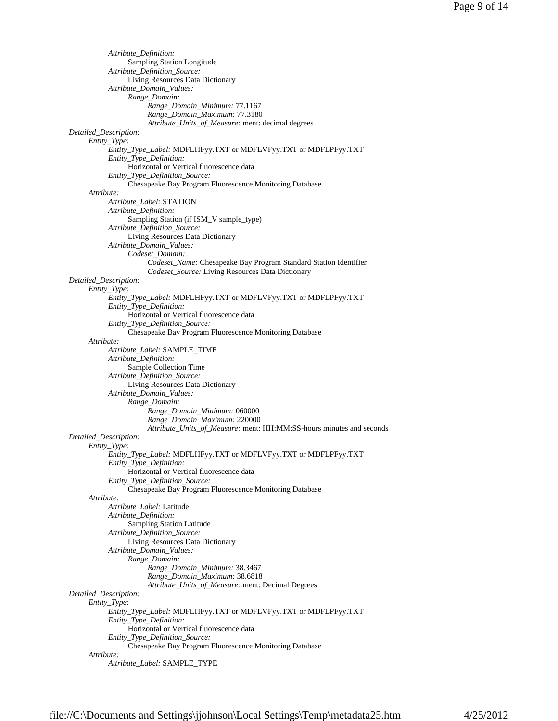```
Attribute_Definition: 
                 Sampling Station Longitude 
           Attribute_Definition_Source: 
                 Living Resources Data Dictionary 
           Attribute_Domain_Values: 
                 Range_Domain: 
                       Range_Domain_Minimum: 77.1167 
                       Range_Domain_Maximum: 77.3180 
                       Attribute_Units_of_Measure: ment: decimal degrees 
Detailed_Description: 
     Entity_Type: 
           Entity_Type_Label: MDFLHFyy.TXT or MDFLVFyy.TXT or MDFLPFyy.TXT 
           Entity_Type_Definition: 
                 Horizontal or Vertical fluorescence data
           Entity_Type_Definition_Source: 
                 Chesapeake Bay Program Fluorescence Monitoring Database 
     Attribute: 
           Attribute_Label: STATION 
           Attribute_Definition: 
                 Sampling Station (if ISM_V sample_type) 
           Attribute_Definition_Source: 
                 Living Resources Data Dictionary 
           Attribute_Domain_Values: 
                 Codeset_Domain: 
                       Codeset_Name: Chesapeake Bay Program Standard Station Identifier 
                       Codeset_Source: Living Resources Data Dictionary 
Detailed_Description: 
     Entity_Type: 
           Entity_Type_Label: MDFLHFyy.TXT or MDFLVFyy.TXT or MDFLPFyy.TXT 
           Entity_Type_Definition: 
                 Horizontal or Vertical fluorescence data 
           Entity_Type_Definition_Source: 
                 Chesapeake Bay Program Fluorescence Monitoring Database 
     Attribute: 
           Attribute_Label: SAMPLE_TIME 
           Attribute_Definition: 
                 Sample Collection Time 
           Attribute_Definition_Source: 
                 Living Resources Data Dictionary 
           Attribute_Domain_Values: 
                 Range_Domain: 
                       Range_Domain_Minimum: 060000 
                       Range_Domain_Maximum: 220000 
                       Attribute_Units_of_Measure: ment: HH:MM:SS-hours minutes and seconds 
Detailed_Description: 
     Entity_Type: 
           Entity_Type_Label: MDFLHFyy.TXT or MDFLVFyy.TXT or MDFLPFyy.TXT 
           Entity_Type_Definition: 
                 Horizontal or Vertical fluorescence data 
           Entity_Type_Definition_Source: 
                 Chesapeake Bay Program Fluorescence Monitoring Database 
     Attribute: 
           Attribute_Label: Latitude 
           Attribute_Definition: 
                 Sampling Station Latitude 
           Attribute_Definition_Source: 
                 Living Resources Data Dictionary 
           Attribute_Domain_Values: 
                 Range_Domain: 
                       Range_Domain_Minimum: 38.3467 
                       Range_Domain_Maximum: 38.6818 
                       Attribute_Units_of_Measure: ment: Decimal Degrees 
Detailed_Description: 
     Entity_Type: 
           Entity_Type_Label: MDFLHFyy.TXT or MDFLVFyy.TXT or MDFLPFyy.TXT 
           Entity_Type_Definition: 
                 Horizontal or Vertical fluorescence data 
           Entity_Type_Definition_Source: 
                 Chesapeake Bay Program Fluorescence Monitoring Database 
     Attribute: 
           Attribute_Label: SAMPLE_TYPE
```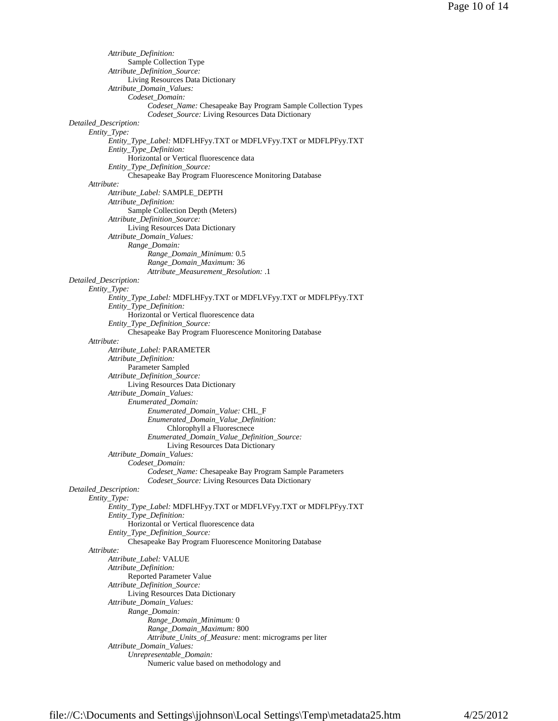```
Attribute_Definition: 
                 Sample Collection Type 
           Attribute_Definition_Source: 
                 Living Resources Data Dictionary 
           Attribute_Domain_Values: 
                 Codeset_Domain: 
                       Codeset_Name: Chesapeake Bay Program Sample Collection Types 
                       Codeset_Source: Living Resources Data Dictionary 
Detailed_Description: 
     Entity_Type: 
           Entity_Type_Label: MDFLHFyy.TXT or MDFLVFyy.TXT or MDFLPFyy.TXT 
           Entity_Type_Definition: 
                 Horizontal or Vertical fluorescence data 
           Entity_Type_Definition_Source: 
                 Chesapeake Bay Program Fluorescence Monitoring Database 
     Attribute: 
           Attribute_Label: SAMPLE_DEPTH 
           Attribute_Definition: 
                 Sample Collection Depth (Meters) 
           Attribute_Definition_Source: 
                 Living Resources Data Dictionary 
           Attribute_Domain_Values: 
                 Range_Domain: 
                       Range_Domain_Minimum: 0.5 
                       Range_Domain_Maximum: 36 
                       Attribute_Measurement_Resolution: .1 
Detailed_Description: 
     Entity_Type: 
           Entity_Type_Label: MDFLHFyy.TXT or MDFLVFyy.TXT or MDFLPFyy.TXT 
           Entity_Type_Definition: 
                 Horizontal or Vertical fluorescence data 
           Entity_Type_Definition_Source: 
                 Chesapeake Bay Program Fluorescence Monitoring Database 
     Attribute: 
           Attribute_Label: PARAMETER 
           Attribute_Definition: 
                 Parameter Sampled 
           Attribute_Definition_Source: 
                 Living Resources Data Dictionary 
           Attribute_Domain_Values: 
                 Enumerated_Domain: 
                       Enumerated_Domain_Value: CHL_F 
                       Enumerated_Domain_Value_Definition: 
                             Chlorophyll a Fluorescnece 
                       Enumerated_Domain_Value_Definition_Source: 
                             Living Resources Data Dictionary 
           Attribute_Domain_Values: 
                 Codeset_Domain: 
                       Codeset_Name: Chesapeake Bay Program Sample Parameters 
                       Codeset_Source: Living Resources Data Dictionary 
Detailed_Description: 
     Entity_Type: 
           Entity_Type_Label: MDFLHFyy.TXT or MDFLVFyy.TXT or MDFLPFyy.TXT 
           Entity_Type_Definition: 
                 Horizontal or Vertical fluorescence data 
           Entity_Type_Definition_Source: 
                 Chesapeake Bay Program Fluorescence Monitoring Database 
     Attribute: 
           Attribute_Label: VALUE 
           Attribute_Definition: 
                 Reported Parameter Value 
           Attribute_Definition_Source: 
                 Living Resources Data Dictionary 
           Attribute_Domain_Values: 
                 Range_Domain: 
                       Range_Domain_Minimum: 0 
                       Range_Domain_Maximum: 800 
                       Attribute_Units_of_Measure: ment: micrograms per liter 
           Attribute_Domain_Values: 
                 Unrepresentable_Domain: 
                       Numeric value based on methodology and
```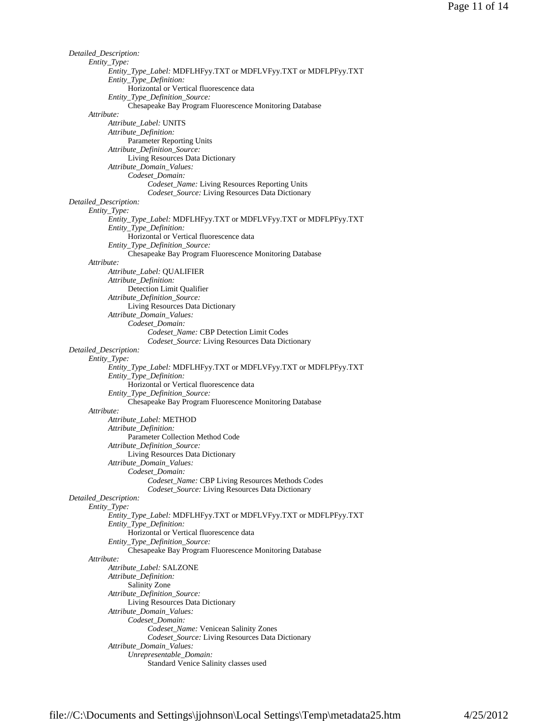```
Detailed_Description: 
     Entity_Type: 
           Entity_Type_Label: MDFLHFyy.TXT or MDFLVFyy.TXT or MDFLPFyy.TXT 
           Entity_Type_Definition: 
                 Horizontal or Vertical fluorescence data 
           Entity_Type_Definition_Source: 
                 Chesapeake Bay Program Fluorescence Monitoring Database 
     Attribute: 
           Attribute_Label: UNITS 
           Attribute_Definition: 
                 Parameter Reporting Units 
           Attribute_Definition_Source: 
                 Living Resources Data Dictionary 
           Attribute_Domain_Values: 
                 Codeset_Domain: 
                       Codeset_Name: Living Resources Reporting Units 
                       Codeset_Source: Living Resources Data Dictionary 
Detailed_Description: 
     Entity_Type: 
           Entity_Type_Label: MDFLHFyy.TXT or MDFLVFyy.TXT or MDFLPFyy.TXT 
           Entity_Type_Definition: 
                 Horizontal or Vertical fluorescence data 
           Entity_Type_Definition_Source: 
                 Chesapeake Bay Program Fluorescence Monitoring Database 
     Attribute: 
           Attribute_Label: QUALIFIER 
           Attribute_Definition: 
                 Detection Limit Qualifier 
           Attribute_Definition_Source: 
                 Living Resources Data Dictionary 
           Attribute_Domain_Values: 
                 Codeset_Domain: 
                       Codeset_Name: CBP Detection Limit Codes 
                       Codeset_Source: Living Resources Data Dictionary 
Detailed_Description: 
     Entity_Type: 
           Entity_Type_Label: MDFLHFyy.TXT or MDFLVFyy.TXT or MDFLPFyy.TXT 
           Entity_Type_Definition: 
                 Horizontal or Vertical fluorescence data 
           Entity_Type_Definition_Source: 
                 Chesapeake Bay Program Fluorescence Monitoring Database 
     Attribute: 
           Attribute_Label: METHOD 
           Attribute_Definition: 
                  Parameter Collection Method Code 
           Attribute_Definition_Source: 
                 Living Resources Data Dictionary 
           Attribute_Domain_Values: 
                 Codeset_Domain: 
                       Codeset_Name: CBP Living Resources Methods Codes 
                       Codeset_Source: Living Resources Data Dictionary 
Detailed_Description: 
     Entity_Type: 
           Entity_Type_Label: MDFLHFyy.TXT or MDFLVFyy.TXT or MDFLPFyy.TXT 
           Entity_Type_Definition: 
                  Horizontal or Vertical fluorescence data 
           Entity_Type_Definition_Source: 
                 Chesapeake Bay Program Fluorescence Monitoring Database 
     Attribute: 
           Attribute_Label: SALZONE 
           Attribute_Definition: 
                 Salinity Zone 
           Attribute_Definition_Source: 
                 Living Resources Data Dictionary 
           Attribute_Domain_Values: 
                  Codeset_Domain: 
                       Codeset_Name: Venicean Salinity Zones 
                       Codeset_Source: Living Resources Data Dictionary 
           Attribute_Domain_Values: 
                 Unrepresentable_Domain: 
                       Standard Venice Salinity classes used
```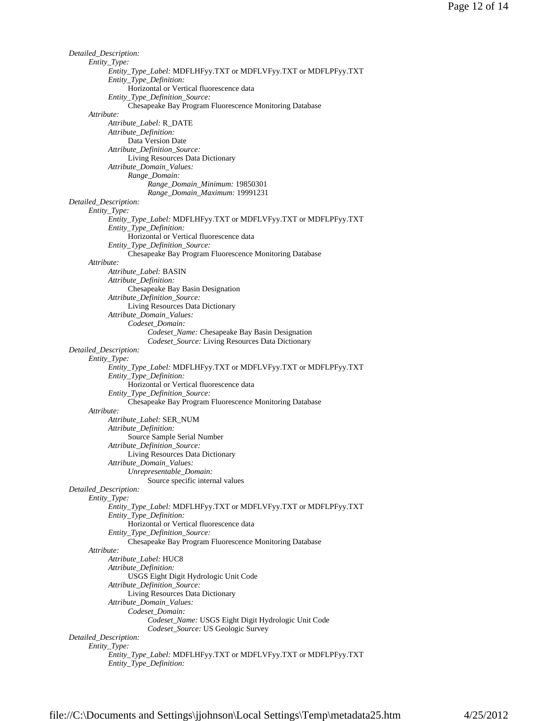```
Detailed_Description: 
     Entity_Type: 
           Entity_Type_Label: MDFLHFyy.TXT or MDFLVFyy.TXT or MDFLPFyy.TXT 
           Entity_Type_Definition: 
                 Horizontal or Vertical fluorescence data 
           Entity_Type_Definition_Source: 
                 Chesapeake Bay Program Fluorescence Monitoring Database 
     Attribute: 
           Attribute_Label: R_DATE 
           Attribute_Definition: 
                 Data Version Date 
           Attribute_Definition_Source: 
                 Living Resources Data Dictionary 
           Attribute_Domain_Values: 
                 Range_Domain: 
                       Range_Domain_Minimum: 19850301 
                       Range_Domain_Maximum: 19991231 
Detailed_Description: 
     Entity_Type: 
           Entity_Type_Label: MDFLHFyy.TXT or MDFLVFyy.TXT or MDFLPFyy.TXT 
           Entity_Type_Definition: 
                 Horizontal or Vertical fluorescence data 
           Entity_Type_Definition_Source: 
                 Chesapeake Bay Program Fluorescence Monitoring Database 
     Attribute: 
           Attribute_Label: BASIN 
           Attribute_Definition: 
                 Chesapeake Bay Basin Designation 
           Attribute_Definition_Source: 
                 Living Resources Data Dictionary 
           Attribute_Domain_Values: 
                 Codeset_Domain: 
                       Codeset_Name: Chesapeake Bay Basin Designation 
                       Codeset_Source: Living Resources Data Dictionary 
Detailed_Description: 
     Entity_Type: 
           Entity_Type_Label: MDFLHFyy.TXT or MDFLVFyy.TXT or MDFLPFyy.TXT 
           Entity_Type_Definition: 
                 Horizontal or Vertical fluorescence data 
           Entity_Type_Definition_Source: 
                 Chesapeake Bay Program Fluorescence Monitoring Database 
     Attribute: 
           Attribute_Label: SER_NUM 
           Attribute_Definition: 
                 Source Sample Serial Number 
           Attribute_Definition_Source: 
                 Living Resources Data Dictionary 
           Attribute_Domain_Values: 
                 Unrepresentable_Domain: 
                       Source specific internal values 
Detailed_Description: 
     Entity_Type: 
           Entity_Type_Label: MDFLHFyy.TXT or MDFLVFyy.TXT or MDFLPFyy.TXT 
           Entity_Type_Definition: 
                 Horizontal or Vertical fluorescence data 
           Entity_Type_Definition_Source: 
                 Chesapeake Bay Program Fluorescence Monitoring Database 
     Attribute: 
           Attribute_Label: HUC8 
           Attribute_Definition: 
                 USGS Eight Digit Hydrologic Unit Code 
           Attribute_Definition_Source: 
                 Living Resources Data Dictionary 
           Attribute_Domain_Values: 
                 Codeset_Domain: 
                       Codeset_Name: USGS Eight Digit Hydrologic Unit Code 
                       Codeset_Source: US Geologic Survey 
Detailed_Description: 
     Entity_Type: 
           Entity_Type_Label: MDFLHFyy.TXT or MDFLVFyy.TXT or MDFLPFyy.TXT 
           Entity_Type_Definition:
```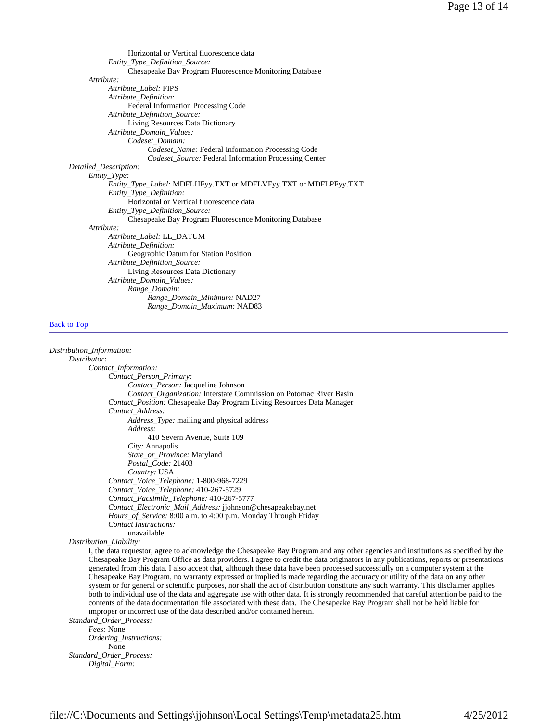Horizontal or Vertical fluorescence data *Entity\_Type\_Definition\_Source:* Chesapeake Bay Program Fluorescence Monitoring Database *Attribute: Attribute\_Label:* FIPS *Attribute\_Definition:* Federal Information Processing Code *Attribute\_Definition\_Source:* Living Resources Data Dictionary *Attribute\_Domain\_Values: Codeset\_Domain: Codeset\_Name:* Federal Information Processing Code *Codeset\_Source:* Federal Information Processing Center *Detailed\_Description: Entity\_Type: Entity\_Type\_Label:* MDFLHFyy.TXT or MDFLVFyy.TXT or MDFLPFyy.TXT *Entity\_Type\_Definition:* Horizontal or Vertical fluorescence data *Entity\_Type\_Definition\_Source:* Chesapeake Bay Program Fluorescence Monitoring Database *Attribute: Attribute\_Label:* LL\_DATUM *Attribute\_Definition:* Geographic Datum for Station Position *Attribute\_Definition\_Source:* Living Resources Data Dictionary *Attribute\_Domain\_Values: Range\_Domain: Range\_Domain\_Minimum:* NAD27 *Range\_Domain\_Maximum:* NAD83

# Back to Top

*Distribution\_Information: Distributor: Contact\_Information: Contact\_Person\_Primary: Contact\_Person:* Jacqueline Johnson *Contact\_Organization:* Interstate Commission on Potomac River Basin *Contact\_Position:* Chesapeake Bay Program Living Resources Data Manager *Contact\_Address: Address\_Type:* mailing and physical address *Address:* 410 Severn Avenue, Suite 109 *City:* Annapolis *State\_or\_Province:* Maryland *Postal\_Code:* 21403 *Country:* USA *Contact\_Voice\_Telephone:* 1-800-968-7229 *Contact\_Voice\_Telephone:* 410-267-5729 *Contact\_Facsimile\_Telephone:* 410-267-5777 *Contact\_Electronic\_Mail\_Address:* jjohnson@chesapeakebay.net *Hours\_of\_Service:* 8:00 a.m. to 4:00 p.m. Monday Through Friday *Contact Instructions:* unavailable *Distribution\_Liability:* I, the data requestor, agree to acknowledge the Chesapeake Bay Program and any other agencies and institutions as specified by the Chesapeake Bay Program Office as data providers. I agree to credit the data originators in any publications, reports or presentations generated from this data. I also accept that, although these data have been processed successfully on a computer system at the Chesapeake Bay Program, no warranty expressed or implied is made regarding the accuracy or utility of the data on any other system or for general or scientific purposes, nor shall the act of distribution constitute any such warranty. This disclaimer applies both to individual use of the data and aggregate use with other data. It is strongly recommended that careful attention be paid to the

contents of the data documentation file associated with these data. The Chesapeake Bay Program shall not be held liable for improper or incorrect use of the data described and/or contained herein. *Standard\_Order\_Process:*

*Fees:* None

*Ordering\_Instructions:* None *Standard\_Order\_Process: Digital\_Form:*